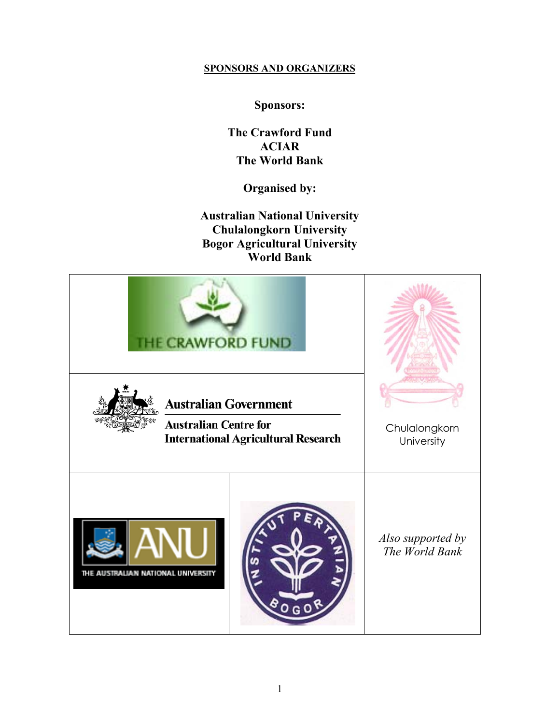# **SPONSORS AND ORGANIZERS**

**Sponsors:** 

**The Crawford Fund ACIAR The World Bank** 

**Organised by:** 

**Australian National University Chulalongkorn University Bogor Agricultural University World Bank** 

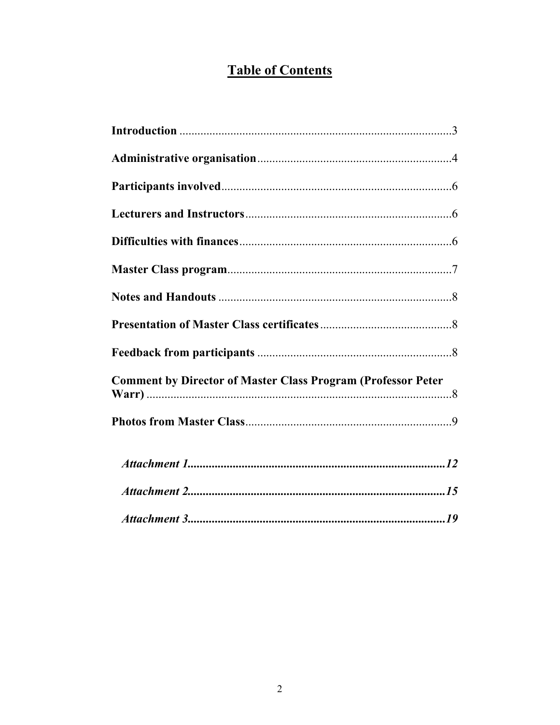# **Table of Contents**

| <b>Comment by Director of Master Class Program (Professor Peter</b> |  |
|---------------------------------------------------------------------|--|
|                                                                     |  |
|                                                                     |  |
|                                                                     |  |
|                                                                     |  |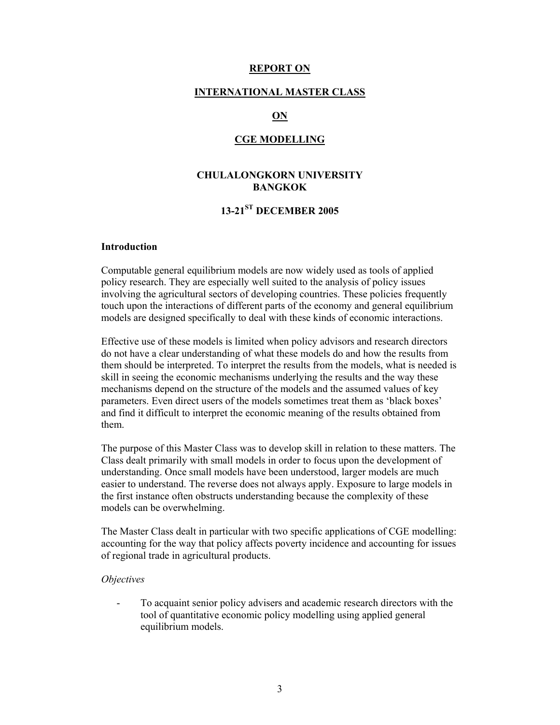### **REPORT ON**

#### **INTERNATIONAL MASTER CLASS**

### **ON**

#### **CGE MODELLING**

### **CHULALONGKORN UNIVERSITY BANGKOK**

# **13-21ST DECEMBER 2005**

#### **Introduction**

Computable general equilibrium models are now widely used as tools of applied policy research. They are especially well suited to the analysis of policy issues involving the agricultural sectors of developing countries. These policies frequently touch upon the interactions of different parts of the economy and general equilibrium models are designed specifically to deal with these kinds of economic interactions.

Effective use of these models is limited when policy advisors and research directors do not have a clear understanding of what these models do and how the results from them should be interpreted. To interpret the results from the models, what is needed is skill in seeing the economic mechanisms underlying the results and the way these mechanisms depend on the structure of the models and the assumed values of key parameters. Even direct users of the models sometimes treat them as 'black boxes' and find it difficult to interpret the economic meaning of the results obtained from them.

The purpose of this Master Class was to develop skill in relation to these matters. The Class dealt primarily with small models in order to focus upon the development of understanding. Once small models have been understood, larger models are much easier to understand. The reverse does not always apply. Exposure to large models in the first instance often obstructs understanding because the complexity of these models can be overwhelming.

The Master Class dealt in particular with two specific applications of CGE modelling: accounting for the way that policy affects poverty incidence and accounting for issues of regional trade in agricultural products.

#### *Objectives*

- To acquaint senior policy advisers and academic research directors with the tool of quantitative economic policy modelling using applied general equilibrium models.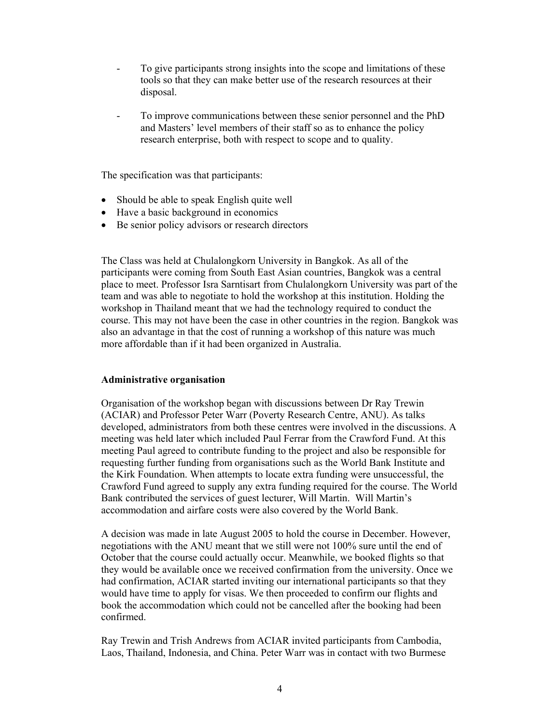- To give participants strong insights into the scope and limitations of these tools so that they can make better use of the research resources at their disposal.
- To improve communications between these senior personnel and the PhD and Masters' level members of their staff so as to enhance the policy research enterprise, both with respect to scope and to quality.

The specification was that participants:

- Should be able to speak English quite well
- Have a basic background in economics
- Be senior policy advisors or research directors

The Class was held at Chulalongkorn University in Bangkok. As all of the participants were coming from South East Asian countries, Bangkok was a central place to meet. Professor Isra Sarntisart from Chulalongkorn University was part of the team and was able to negotiate to hold the workshop at this institution. Holding the workshop in Thailand meant that we had the technology required to conduct the course. This may not have been the case in other countries in the region. Bangkok was also an advantage in that the cost of running a workshop of this nature was much more affordable than if it had been organized in Australia.

### **Administrative organisation**

Organisation of the workshop began with discussions between Dr Ray Trewin (ACIAR) and Professor Peter Warr (Poverty Research Centre, ANU). As talks developed, administrators from both these centres were involved in the discussions. A meeting was held later which included Paul Ferrar from the Crawford Fund. At this meeting Paul agreed to contribute funding to the project and also be responsible for requesting further funding from organisations such as the World Bank Institute and the Kirk Foundation. When attempts to locate extra funding were unsuccessful, the Crawford Fund agreed to supply any extra funding required for the course. The World Bank contributed the services of guest lecturer, Will Martin. Will Martin's accommodation and airfare costs were also covered by the World Bank.

A decision was made in late August 2005 to hold the course in December. However, negotiations with the ANU meant that we still were not 100% sure until the end of October that the course could actually occur. Meanwhile, we booked flights so that they would be available once we received confirmation from the university. Once we had confirmation, ACIAR started inviting our international participants so that they would have time to apply for visas. We then proceeded to confirm our flights and book the accommodation which could not be cancelled after the booking had been confirmed.

Ray Trewin and Trish Andrews from ACIAR invited participants from Cambodia, Laos, Thailand, Indonesia, and China. Peter Warr was in contact with two Burmese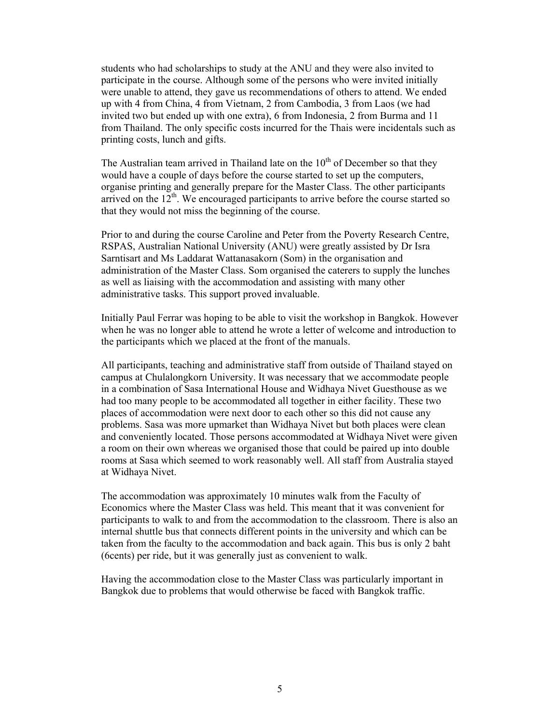students who had scholarships to study at the ANU and they were also invited to participate in the course. Although some of the persons who were invited initially were unable to attend, they gave us recommendations of others to attend. We ended up with 4 from China, 4 from Vietnam, 2 from Cambodia, 3 from Laos (we had invited two but ended up with one extra), 6 from Indonesia, 2 from Burma and 11 from Thailand. The only specific costs incurred for the Thais were incidentals such as printing costs, lunch and gifts.

The Australian team arrived in Thailand late on the  $10<sup>th</sup>$  of December so that they would have a couple of days before the course started to set up the computers, organise printing and generally prepare for the Master Class. The other participants arrived on the  $12<sup>th</sup>$ . We encouraged participants to arrive before the course started so that they would not miss the beginning of the course.

Prior to and during the course Caroline and Peter from the Poverty Research Centre, RSPAS, Australian National University (ANU) were greatly assisted by Dr Isra Sarntisart and Ms Laddarat Wattanasakorn (Som) in the organisation and administration of the Master Class. Som organised the caterers to supply the lunches as well as liaising with the accommodation and assisting with many other administrative tasks. This support proved invaluable.

Initially Paul Ferrar was hoping to be able to visit the workshop in Bangkok. However when he was no longer able to attend he wrote a letter of welcome and introduction to the participants which we placed at the front of the manuals.

All participants, teaching and administrative staff from outside of Thailand stayed on campus at Chulalongkorn University. It was necessary that we accommodate people in a combination of Sasa International House and Widhaya Nivet Guesthouse as we had too many people to be accommodated all together in either facility. These two places of accommodation were next door to each other so this did not cause any problems. Sasa was more upmarket than Widhaya Nivet but both places were clean and conveniently located. Those persons accommodated at Widhaya Nivet were given a room on their own whereas we organised those that could be paired up into double rooms at Sasa which seemed to work reasonably well. All staff from Australia stayed at Widhaya Nivet.

The accommodation was approximately 10 minutes walk from the Faculty of Economics where the Master Class was held. This meant that it was convenient for participants to walk to and from the accommodation to the classroom. There is also an internal shuttle bus that connects different points in the university and which can be taken from the faculty to the accommodation and back again. This bus is only 2 baht (6cents) per ride, but it was generally just as convenient to walk.

Having the accommodation close to the Master Class was particularly important in Bangkok due to problems that would otherwise be faced with Bangkok traffic.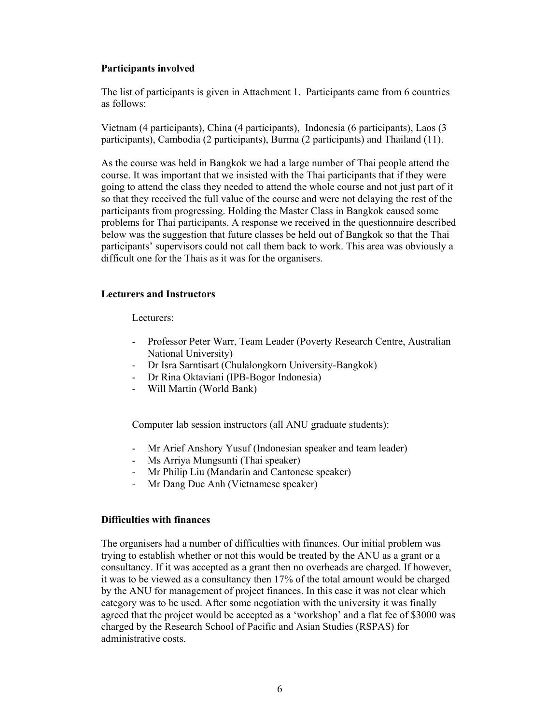### **Participants involved**

The list of participants is given in Attachment 1. Participants came from 6 countries as follows:

Vietnam (4 participants), China (4 participants), Indonesia (6 participants), Laos (3 participants), Cambodia (2 participants), Burma (2 participants) and Thailand (11).

As the course was held in Bangkok we had a large number of Thai people attend the course. It was important that we insisted with the Thai participants that if they were going to attend the class they needed to attend the whole course and not just part of it so that they received the full value of the course and were not delaying the rest of the participants from progressing. Holding the Master Class in Bangkok caused some problems for Thai participants. A response we received in the questionnaire described below was the suggestion that future classes be held out of Bangkok so that the Thai participants' supervisors could not call them back to work. This area was obviously a difficult one for the Thais as it was for the organisers.

### **Lecturers and Instructors**

Lecturers:

- Professor Peter Warr, Team Leader (Poverty Research Centre, Australian National University)
- Dr Isra Sarntisart (Chulalongkorn University-Bangkok)
- Dr Rina Oktaviani (IPB-Bogor Indonesia)
- Will Martin (World Bank)

Computer lab session instructors (all ANU graduate students):

- Mr Arief Anshory Yusuf (Indonesian speaker and team leader)
- Ms Arriya Mungsunti (Thai speaker)
- Mr Philip Liu (Mandarin and Cantonese speaker)
- Mr Dang Duc Anh (Vietnamese speaker)

### **Difficulties with finances**

The organisers had a number of difficulties with finances. Our initial problem was trying to establish whether or not this would be treated by the ANU as a grant or a consultancy. If it was accepted as a grant then no overheads are charged. If however, it was to be viewed as a consultancy then 17% of the total amount would be charged by the ANU for management of project finances. In this case it was not clear which category was to be used. After some negotiation with the university it was finally agreed that the project would be accepted as a 'workshop' and a flat fee of \$3000 was charged by the Research School of Pacific and Asian Studies (RSPAS) for administrative costs.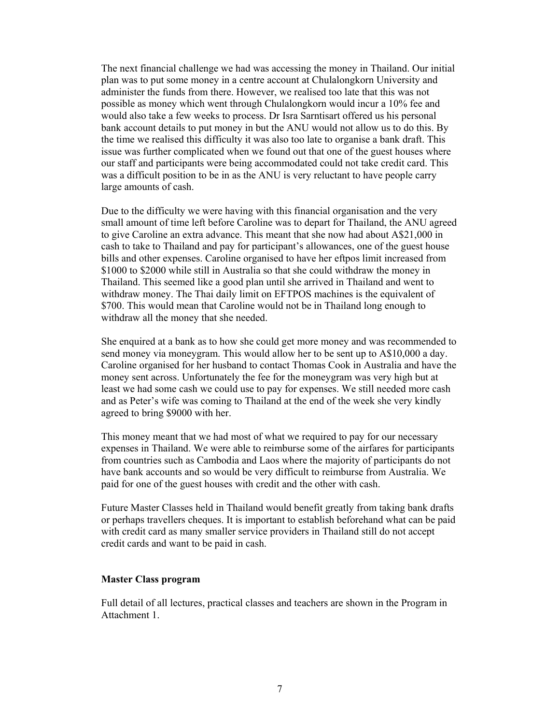The next financial challenge we had was accessing the money in Thailand. Our initial plan was to put some money in a centre account at Chulalongkorn University and administer the funds from there. However, we realised too late that this was not possible as money which went through Chulalongkorn would incur a 10% fee and would also take a few weeks to process. Dr Isra Sarntisart offered us his personal bank account details to put money in but the ANU would not allow us to do this. By the time we realised this difficulty it was also too late to organise a bank draft. This issue was further complicated when we found out that one of the guest houses where our staff and participants were being accommodated could not take credit card. This was a difficult position to be in as the ANU is very reluctant to have people carry large amounts of cash.

Due to the difficulty we were having with this financial organisation and the very small amount of time left before Caroline was to depart for Thailand, the ANU agreed to give Caroline an extra advance. This meant that she now had about A\$21,000 in cash to take to Thailand and pay for participant's allowances, one of the guest house bills and other expenses. Caroline organised to have her eftpos limit increased from \$1000 to \$2000 while still in Australia so that she could withdraw the money in Thailand. This seemed like a good plan until she arrived in Thailand and went to withdraw money. The Thai daily limit on EFTPOS machines is the equivalent of \$700. This would mean that Caroline would not be in Thailand long enough to withdraw all the money that she needed.

She enquired at a bank as to how she could get more money and was recommended to send money via moneygram. This would allow her to be sent up to A\$10,000 a day. Caroline organised for her husband to contact Thomas Cook in Australia and have the money sent across. Unfortunately the fee for the moneygram was very high but at least we had some cash we could use to pay for expenses. We still needed more cash and as Peter's wife was coming to Thailand at the end of the week she very kindly agreed to bring \$9000 with her.

This money meant that we had most of what we required to pay for our necessary expenses in Thailand. We were able to reimburse some of the airfares for participants from countries such as Cambodia and Laos where the majority of participants do not have bank accounts and so would be very difficult to reimburse from Australia. We paid for one of the guest houses with credit and the other with cash.

Future Master Classes held in Thailand would benefit greatly from taking bank drafts or perhaps travellers cheques. It is important to establish beforehand what can be paid with credit card as many smaller service providers in Thailand still do not accept credit cards and want to be paid in cash.

#### **Master Class program**

Full detail of all lectures, practical classes and teachers are shown in the Program in Attachment 1.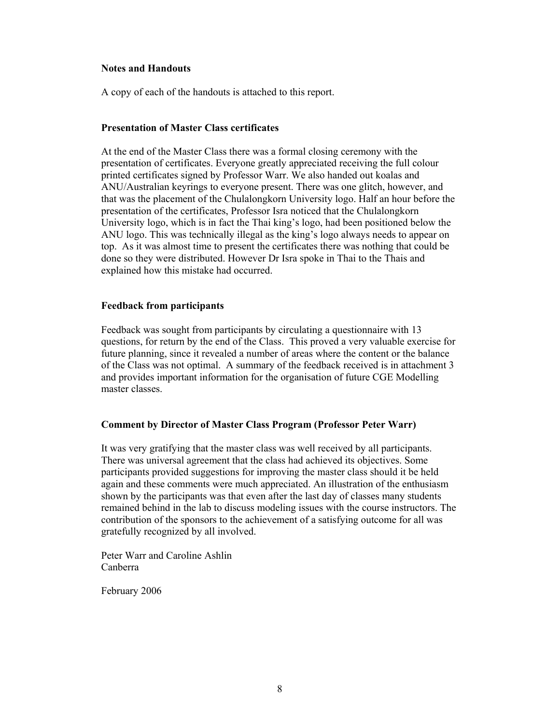### **Notes and Handouts**

A copy of each of the handouts is attached to this report.

### **Presentation of Master Class certificates**

At the end of the Master Class there was a formal closing ceremony with the presentation of certificates. Everyone greatly appreciated receiving the full colour printed certificates signed by Professor Warr. We also handed out koalas and ANU/Australian keyrings to everyone present. There was one glitch, however, and that was the placement of the Chulalongkorn University logo. Half an hour before the presentation of the certificates, Professor Isra noticed that the Chulalongkorn University logo, which is in fact the Thai king's logo, had been positioned below the ANU logo. This was technically illegal as the king's logo always needs to appear on top. As it was almost time to present the certificates there was nothing that could be done so they were distributed. However Dr Isra spoke in Thai to the Thais and explained how this mistake had occurred.

### **Feedback from participants**

Feedback was sought from participants by circulating a questionnaire with 13 questions, for return by the end of the Class. This proved a very valuable exercise for future planning, since it revealed a number of areas where the content or the balance of the Class was not optimal. A summary of the feedback received is in attachment 3 and provides important information for the organisation of future CGE Modelling master classes.

# **Comment by Director of Master Class Program (Professor Peter Warr)**

It was very gratifying that the master class was well received by all participants. There was universal agreement that the class had achieved its objectives. Some participants provided suggestions for improving the master class should it be held again and these comments were much appreciated. An illustration of the enthusiasm shown by the participants was that even after the last day of classes many students remained behind in the lab to discuss modeling issues with the course instructors. The contribution of the sponsors to the achievement of a satisfying outcome for all was gratefully recognized by all involved.

Peter Warr and Caroline Ashlin Canberra

February 2006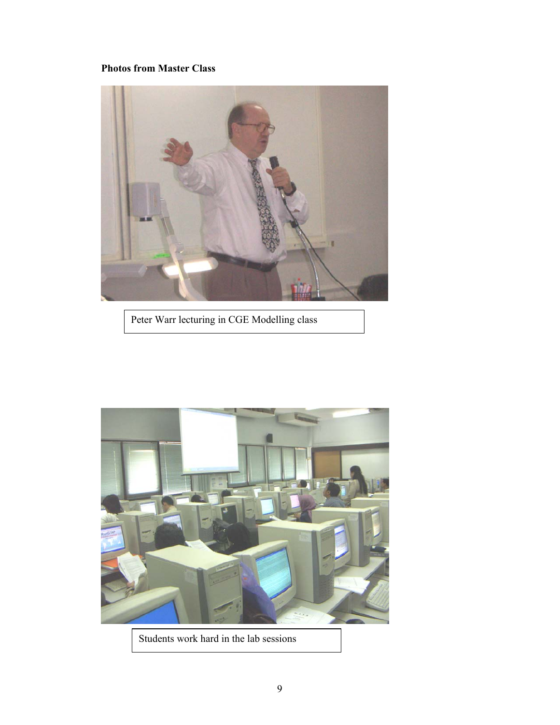# **Photos from Master Class**



Peter Warr lecturing in CGE Modelling class



Students work hard in the lab sessions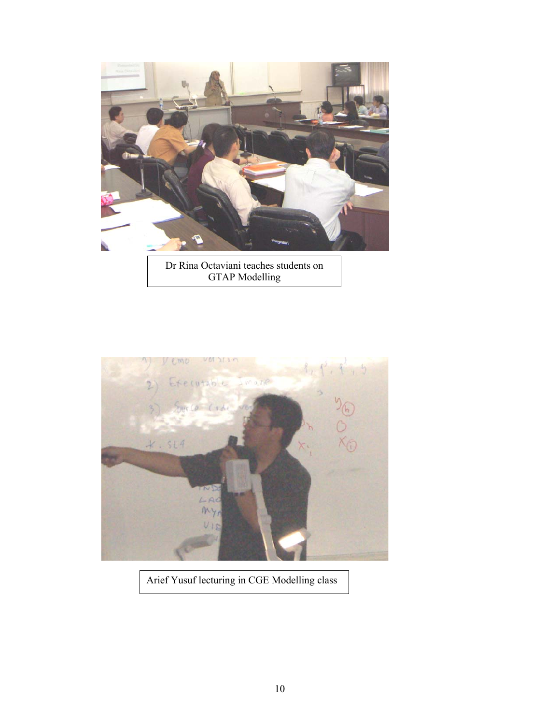

GTAP Modelling



Arief Yusuf lecturing in CGE Modelling class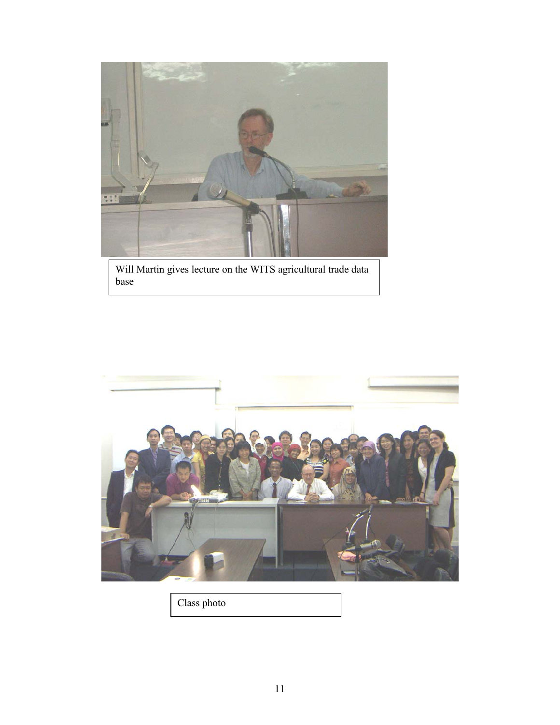

Will Martin gives lecture on the WITS agricultural trade data base



Class photo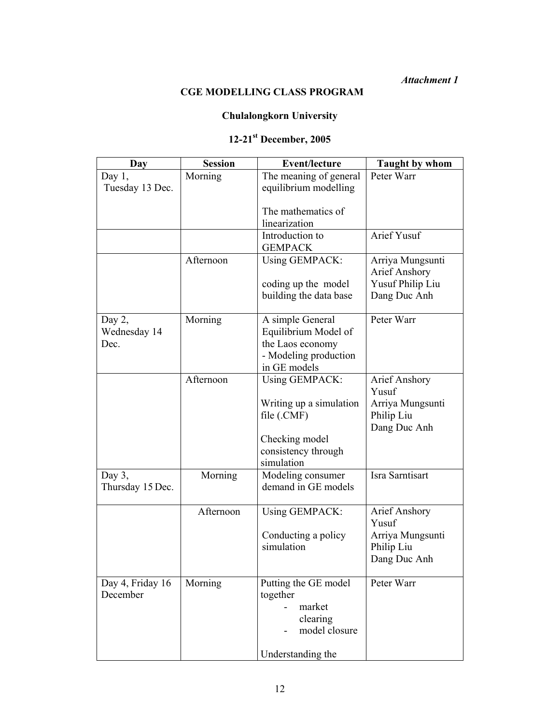*Attachment 1* 

# **CGE MODELLING CLASS PROGRAM**

# **Chulalongkorn University**

# **12-21st December, 2005**

| Day                            | <b>Session</b> | <b>Event/lecture</b>                                                                                  | <b>Taught by whom</b>                                                           |
|--------------------------------|----------------|-------------------------------------------------------------------------------------------------------|---------------------------------------------------------------------------------|
| Day $1,$<br>Tuesday 13 Dec.    | Morning        | The meaning of general<br>equilibrium modelling                                                       | Peter Warr                                                                      |
|                                |                | The mathematics of<br>linearization                                                                   |                                                                                 |
|                                |                | Introduction to<br><b>GEMPACK</b>                                                                     | Arief Yusuf                                                                     |
|                                | Afternoon      | Using GEMPACK:<br>coding up the model                                                                 | Arriya Mungsunti<br><b>Arief Anshory</b><br>Yusuf Philip Liu                    |
|                                |                | building the data base                                                                                | Dang Duc Anh                                                                    |
| Day 2,<br>Wednesday 14<br>Dec. | Morning        | A simple General<br>Equilibrium Model of<br>the Laos economy<br>- Modeling production<br>in GE models | Peter Warr                                                                      |
|                                | Afternoon      | Using GEMPACK:<br>Writing up a simulation<br>file (.CMF)                                              | <b>Arief Anshory</b><br>Yusuf<br>Arriya Mungsunti<br>Philip Liu<br>Dang Duc Anh |
|                                |                | Checking model<br>consistency through<br>simulation                                                   |                                                                                 |
| Day $3$ ,<br>Thursday 15 Dec.  | Morning        | Modeling consumer<br>demand in GE models                                                              | Isra Sarntisart                                                                 |
|                                | Afternoon      | Using GEMPACK:<br>Conducting a policy<br>simulation                                                   | <b>Arief Anshory</b><br>Yusuf<br>Arriya Mungsunti<br>Philip Liu<br>Dang Duc Anh |
| Day 4, Friday 16<br>December   | Morning        | Putting the GE model<br>together<br>market<br>clearing<br>model closure<br>Understanding the          | Peter Warr                                                                      |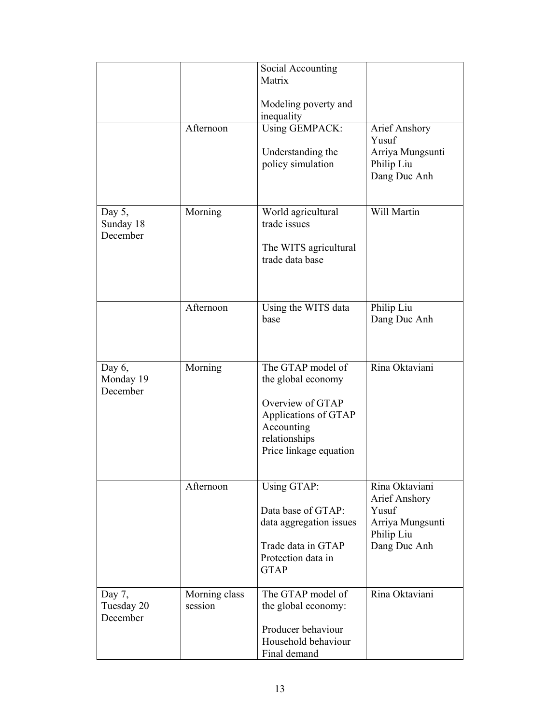|                                    |                          | Social Accounting<br>Matrix                                                                                                                  |                                                                                                   |
|------------------------------------|--------------------------|----------------------------------------------------------------------------------------------------------------------------------------------|---------------------------------------------------------------------------------------------------|
|                                    |                          | Modeling poverty and<br>inequality                                                                                                           |                                                                                                   |
|                                    | Afternoon                | Using GEMPACK:                                                                                                                               | <b>Arief Anshory</b><br>Yusuf                                                                     |
|                                    |                          | Understanding the<br>policy simulation                                                                                                       | Arriya Mungsunti<br>Philip Liu<br>Dang Duc Anh                                                    |
| Day 5,<br>Sunday 18<br>December    | Morning                  | World agricultural<br>trade issues                                                                                                           | Will Martin                                                                                       |
|                                    |                          | The WITS agricultural<br>trade data base                                                                                                     |                                                                                                   |
|                                    | Afternoon                | Using the WITS data<br>base                                                                                                                  | Philip Liu<br>Dang Duc Anh                                                                        |
| Day $6$ ,<br>Monday 19<br>December | Morning                  | The GTAP model of<br>the global economy<br>Overview of GTAP<br>Applications of GTAP<br>Accounting<br>relationships<br>Price linkage equation | Rina Oktaviani                                                                                    |
|                                    | Afternoon                | Using GTAP:<br>Data base of GTAP:<br>data aggregation issues<br>Trade data in GTAP<br>Protection data in<br><b>GTAP</b>                      | Rina Oktaviani<br><b>Arief Anshory</b><br>Yusuf<br>Arriya Mungsunti<br>Philip Liu<br>Dang Duc Anh |
| Day 7,<br>Tuesday 20<br>December   | Morning class<br>session | The GTAP model of<br>the global economy:<br>Producer behaviour<br>Household behaviour<br>Final demand                                        | Rina Oktaviani                                                                                    |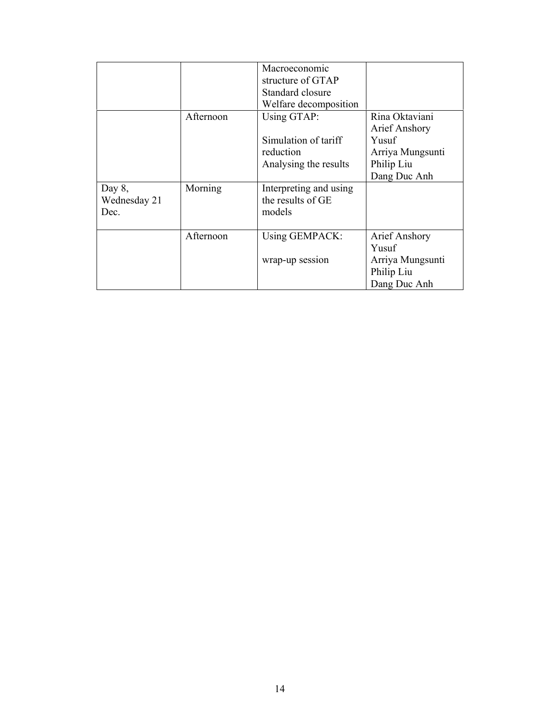|                                |           | Macroeconomic<br>structure of GTAP<br>Standard closure<br>Welfare decomposition |                                                                                            |
|--------------------------------|-----------|---------------------------------------------------------------------------------|--------------------------------------------------------------------------------------------|
|                                | Afternoon | Using GTAP:<br>Simulation of tariff<br>reduction<br>Analysing the results       | Rina Oktaviani<br>Arief Anshory<br>Yusuf<br>Arriya Mungsunti<br>Philip Liu<br>Dang Duc Anh |
| Day 8,<br>Wednesday 21<br>Dec. | Morning   | Interpreting and using<br>the results of GE<br>models                           |                                                                                            |
|                                | Afternoon | Using GEMPACK:<br>wrap-up session                                               | Arief Anshory<br>Yusuf<br>Arriya Mungsunti<br>Philip Liu<br>Dang Duc Anh                   |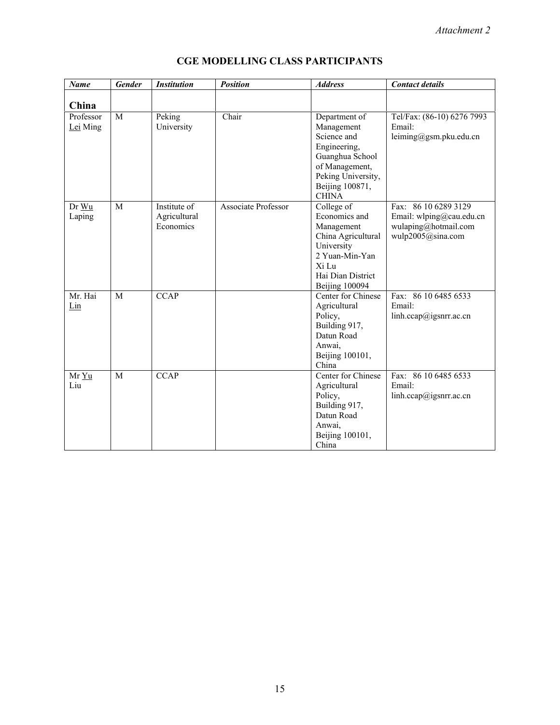| <b>Name</b>                           | <b>Gender</b> | <b>Institution</b>                        | <b>Position</b>            | <b>Address</b>                                                                                                                                           | <b>Contact details</b>                                                                        |
|---------------------------------------|---------------|-------------------------------------------|----------------------------|----------------------------------------------------------------------------------------------------------------------------------------------------------|-----------------------------------------------------------------------------------------------|
| China                                 |               |                                           |                            |                                                                                                                                                          |                                                                                               |
| Professor<br>Lei Ming                 | M             | Peking<br>University                      | Chair                      | Department of<br>Management<br>Science and<br>Engineering,<br>Guanghua School<br>of Management,<br>Peking University,<br>Beijing 100871,<br><b>CHINA</b> | Tel/Fax: (86-10) 6276 7993<br>Email:<br>leiming@gsm.pku.edu.cn                                |
| Dr Wu<br>Laping                       | M             | Institute of<br>Agricultural<br>Economics | <b>Associate Professor</b> | College of<br>Economics and<br>Management<br>China Agricultural<br>University<br>2 Yuan-Min-Yan<br>Xi Lu<br>Hai Dian District<br>Beijing 100094          | Fax: 86 10 6289 3129<br>Email: wlping@cau.edu.cn<br>wulaping@hotmail.com<br>wulp2005@sina.com |
| Mr. Hai<br>Lin                        | M             | <b>CCAP</b>                               |                            | Center for Chinese<br>Agricultural<br>Policy,<br>Building 917,<br>Datun Road<br>Anwai,<br>Beijing 100101,<br>China                                       | Fax: 86 10 6485 6533<br>Email:<br>linh.ccap@igsnrr.ac.cn                                      |
| $\overline{Mr} \underline{Yu}$<br>Liu | M             | <b>CCAP</b>                               |                            | Center for Chinese<br>Agricultural<br>Policy,<br>Building 917,<br>Datun Road<br>Anwai,<br>Beijing 100101,<br>China                                       | Fax: 86 10 6485 6533<br>Email:<br>linh.ccap@igsnrr.ac.cn                                      |

# **CGE MODELLING CLASS PARTICIPANTS**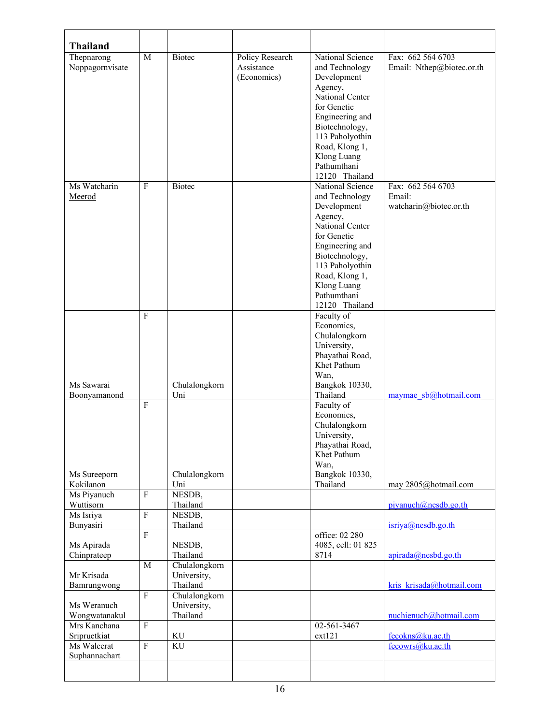| <b>Thailand</b>               |                            |                                                           |                                              |                                                                                                                                                                                                                          |                                                       |
|-------------------------------|----------------------------|-----------------------------------------------------------|----------------------------------------------|--------------------------------------------------------------------------------------------------------------------------------------------------------------------------------------------------------------------------|-------------------------------------------------------|
| Thepnarong<br>Noppagornvisate | M                          | <b>Biotec</b>                                             | Policy Research<br>Assistance<br>(Economics) | National Science<br>and Technology<br>Development<br>Agency,<br>National Center<br>for Genetic<br>Engineering and<br>Biotechnology,<br>113 Paholyothin<br>Road, Klong 1,<br>Klong Luang<br>Pathumthani<br>12120 Thailand | Fax: 662 564 6703<br>Email: Nthep@biotec.or.th        |
| Ms Watcharin<br>Meerod        | $\mathbf{F}$               | <b>Biotec</b>                                             |                                              | National Science<br>and Technology<br>Development<br>Agency,<br>National Center<br>for Genetic<br>Engineering and<br>Biotechnology,<br>113 Paholyothin<br>Road, Klong 1,<br>Klong Luang<br>Pathumthani<br>12120 Thailand | Fax: 662 564 6703<br>Email:<br>watcharin@biotec.or.th |
| Ms Sawarai<br>Boonyamanond    | F                          | Chulalongkorn<br>Uni                                      |                                              | Faculty of<br>Economics,<br>Chulalongkorn<br>University,<br>Phayathai Road,<br>Khet Pathum<br>Wan,<br>Bangkok 10330,<br>Thailand                                                                                         | maymae sb@hotmail.com                                 |
| Ms Sureeporn                  | $\boldsymbol{\mathrm{F}}$  | Chulalongkorn                                             |                                              | Faculty of<br>Economics,<br>Chulalongkorn<br>University,<br>Phayathai Road,<br>Khet Pathum<br>Wan,<br>Bangkok 10330,                                                                                                     |                                                       |
| Kokilanon<br>Ms Piyanuch      | ${\bf F}$                  | Uni<br>NESDB,                                             |                                              | Thailand                                                                                                                                                                                                                 | may 2805@hotmail.com                                  |
| Wuttisorn                     |                            | Thailand                                                  |                                              |                                                                                                                                                                                                                          | piyanuch@nesdb.go.th                                  |
| Ms Isriya<br>Bunyasiri        | $\overline{F}$             | NESDB,<br>Thailand                                        |                                              |                                                                                                                                                                                                                          | isriya@nesdb.gov.th                                   |
| Ms Apirada<br>Chinprateep     | $\mathbf F$<br>$\mathbf M$ | NESDB,<br>Thailand                                        |                                              | office: 02 280<br>4085, cell: 01 825<br>8714                                                                                                                                                                             | apirada@nesbd.go.th                                   |
| Mr Krisada<br>Bamrungwong     | $\mathbf F$                | Chulalongkorn<br>University,<br>Thailand<br>Chulalongkorn |                                              |                                                                                                                                                                                                                          | kris krisada@hotmail.com                              |
| Ms Weranuch<br>Wongwatanakul  |                            | University,<br>Thailand                                   |                                              |                                                                                                                                                                                                                          | nuchienuch@hotmail.com                                |
| Mrs Kanchana<br>Sripruetkiat  | $\mathbf F$                | KU                                                        |                                              | 02-561-3467<br>ext121                                                                                                                                                                                                    | fecokns@ku.ac.th                                      |
| Ms Waleerat                   | $\overline{F}$             | <b>KU</b>                                                 |                                              |                                                                                                                                                                                                                          | fecowrs@ku.ac.th                                      |
| Suphannachart                 |                            |                                                           |                                              |                                                                                                                                                                                                                          |                                                       |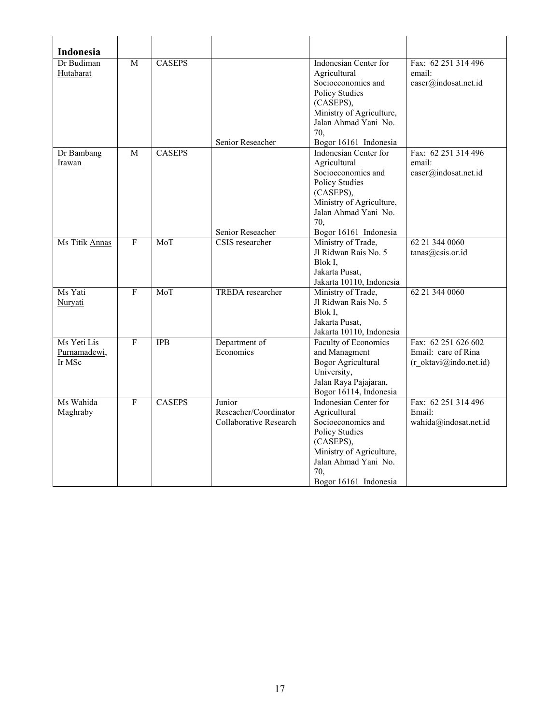| Indonesia                             |                |               |                                                           |                                                                                                                                                                                       |                                                                               |
|---------------------------------------|----------------|---------------|-----------------------------------------------------------|---------------------------------------------------------------------------------------------------------------------------------------------------------------------------------------|-------------------------------------------------------------------------------|
| Dr Budiman<br>Hutabarat               | M              | <b>CASEPS</b> | Senior Reseacher                                          | Indonesian Center for<br>Agricultural<br>Socioeconomics and<br><b>Policy Studies</b><br>(CASEPS),<br>Ministry of Agriculture,<br>Jalan Ahmad Yani No.<br>70,<br>Bogor 16161 Indonesia | Fax: 62 251 314 496<br>email:<br>caser@indosat.net.id                         |
| Dr Bambang<br>Irawan                  | $\mathbf{M}$   | <b>CASEPS</b> | Senior Reseacher                                          | Indonesian Center for<br>Agricultural<br>Socioeconomics and<br><b>Policy Studies</b><br>(CASEPS),<br>Ministry of Agriculture,<br>Jalan Ahmad Yani No.<br>70.<br>Bogor 16161 Indonesia | Fax: 62 251 314 496<br>email:<br>caser@indosat.net.id                         |
| Ms Titik Annas                        | ${\bf F}$      | MoT           | CSIS researcher                                           | Ministry of Trade,<br>Jl Ridwan Rais No. 5<br>Blok I,<br>Jakarta Pusat,<br>Jakarta 10110, Indonesia                                                                                   | 62 21 344 0060<br>$tanas@csis.$ or.id                                         |
| Ms Yati<br>Nuryati                    | $\mathbf{F}$   | MoT           | <b>TREDA</b> researcher                                   | Ministry of Trade,<br>Jl Ridwan Rais No. 5<br>Blok I,<br>Jakarta Pusat,<br>Jakarta 10110, Indonesia                                                                                   | 62 21 344 0060                                                                |
| Ms Yeti Lis<br>Purnamadewi,<br>Ir MSc | F              | <b>IPB</b>    | Department of<br>Economics                                | Faculty of Economics<br>and Managment<br><b>Bogor Agricultural</b><br>University,<br>Jalan Raya Pajajaran,<br>Bogor 16114, Indonesia                                                  | Fax: 62 251 626 602<br>Email: care of Rina<br>$(r \space oktavi@indo.net.id)$ |
| Ms Wahida<br>Maghraby                 | $\overline{F}$ | <b>CASEPS</b> | Junior<br>Reseacher/Coordinator<br>Collaborative Research | Indonesian Center for<br>Agricultural<br>Socioeconomics and<br><b>Policy Studies</b><br>(CASEPS),<br>Ministry of Agriculture,<br>Jalan Ahmad Yani No.<br>70,<br>Bogor 16161 Indonesia | Fax: 62 251 314 496<br>Email:<br>wahida@indosat.net.id                        |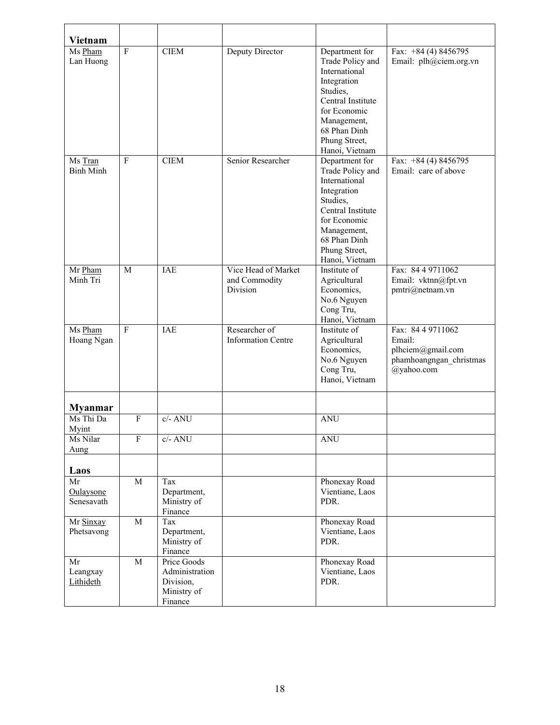| Vietnam                       |              |                                                                      |                                                  |                                                                                                                                                                                       |                                                                                           |
|-------------------------------|--------------|----------------------------------------------------------------------|--------------------------------------------------|---------------------------------------------------------------------------------------------------------------------------------------------------------------------------------------|-------------------------------------------------------------------------------------------|
| Ms Pham<br>Lan Huong          | $\mathbf F$  | <b>CIEM</b>                                                          | Deputy Director                                  | Department for<br>Trade Policy and<br>International<br>Integration<br>Studies,<br>Central Institute<br>for Economic<br>Management,<br>68 Phan Dinh<br>Phung Street,<br>Hanoi, Vietnam | Fax: $+84$ (4) 8456795<br>Email: plh@ciem.org.vn                                          |
| Ms Tran<br><b>Binh Minh</b>   | $\mathbf F$  | <b>CIEM</b>                                                          | Senior Researcher                                | Department for<br>Trade Policy and<br>International<br>Integration<br>Studies,<br>Central Institute<br>for Economic<br>Management,<br>68 Phan Dinh<br>Phung Street,<br>Hanoi, Vietnam | Fax: $+84$ (4) 8456795<br>Email: care of above                                            |
| Mr Pham<br>Minh Tri           | M            | <b>IAE</b>                                                           | Vice Head of Market<br>and Commodity<br>Division | Institute of<br>Agricultural<br>Economics,<br>No.6 Nguyen<br>Cong Tru,<br>Hanoi, Vietnam                                                                                              | Fax: 84 4 9711062<br>Email: vktnn@fpt.vn<br>pmtri@netnam.vn                               |
| Ms Pham<br>Hoang Ngan         | $\mathbf{F}$ | IAE                                                                  | Researcher of<br><b>Information Centre</b>       | Institute of<br>Agricultural<br>Economics,<br>No.6 Nguyen<br>Cong Tru,<br>Hanoi, Vietnam                                                                                              | Fax: 84 4 9711062<br>Email:<br>plhciem@gmail.com<br>phamhoangngan_christmas<br>@yahoo.com |
| <b>Myanmar</b>                |              |                                                                      |                                                  |                                                                                                                                                                                       |                                                                                           |
| Ms Thi Da<br>Myint            | F            | c/- ANU                                                              |                                                  | <b>ANU</b>                                                                                                                                                                            |                                                                                           |
| Ms Nilar<br>Aung              | F            | c/- ANU                                                              |                                                  | <b>ANU</b>                                                                                                                                                                            |                                                                                           |
| Laos                          |              |                                                                      |                                                  |                                                                                                                                                                                       |                                                                                           |
| Mr<br>Oulaysone<br>Senesavath | M            | Tax<br>Department,<br>Ministry of<br>Finance                         |                                                  | Phonexay Road<br>Vientiane, Laos<br>PDR.                                                                                                                                              |                                                                                           |
| Mr Sinxay<br>Phetsavong       | M            | Tax<br>Department,<br>Ministry of<br>Finance                         |                                                  | Phonexay Road<br>Vientiane, Laos<br>PDR.                                                                                                                                              |                                                                                           |
| Mr<br>Leangxay<br>Lithideth   | M            | Price Goods<br>Administration<br>Division,<br>Ministry of<br>Finance |                                                  | Phonexay Road<br>Vientiane, Laos<br>PDR.                                                                                                                                              |                                                                                           |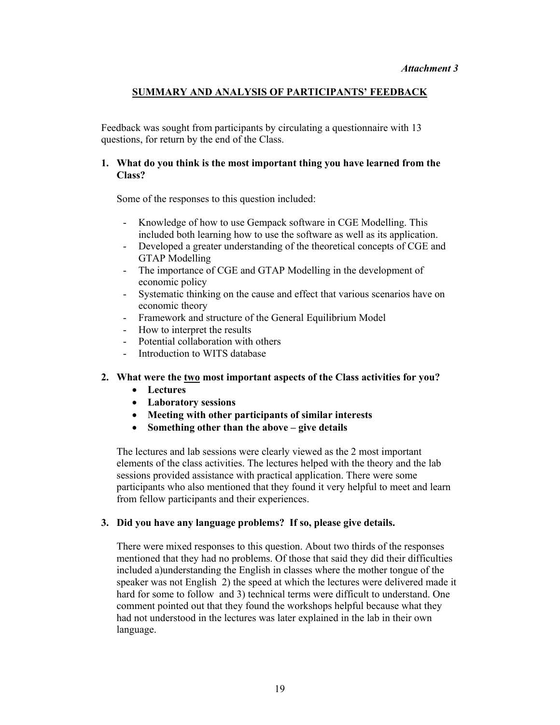## **SUMMARY AND ANALYSIS OF PARTICIPANTS' FEEDBACK**

Feedback was sought from participants by circulating a questionnaire with 13 questions, for return by the end of the Class.

### **1. What do you think is the most important thing you have learned from the Class?**

Some of the responses to this question included:

- Knowledge of how to use Gempack software in CGE Modelling. This included both learning how to use the software as well as its application.
- Developed a greater understanding of the theoretical concepts of CGE and GTAP Modelling
- The importance of CGE and GTAP Modelling in the development of economic policy
- Systematic thinking on the cause and effect that various scenarios have on economic theory
- Framework and structure of the General Equilibrium Model
- How to interpret the results
- Potential collaboration with others
- Introduction to WITS database

### **2. What were the two most important aspects of the Class activities for you?**

- **Lectures**
- **Laboratory sessions**
- **Meeting with other participants of similar interests**
- **Something other than the above give details**

The lectures and lab sessions were clearly viewed as the 2 most important elements of the class activities. The lectures helped with the theory and the lab sessions provided assistance with practical application. There were some participants who also mentioned that they found it very helpful to meet and learn from fellow participants and their experiences.

### **3. Did you have any language problems? If so, please give details.**

There were mixed responses to this question. About two thirds of the responses mentioned that they had no problems. Of those that said they did their difficulties included a)understanding the English in classes where the mother tongue of the speaker was not English 2) the speed at which the lectures were delivered made it hard for some to follow and 3) technical terms were difficult to understand. One comment pointed out that they found the workshops helpful because what they had not understood in the lectures was later explained in the lab in their own language.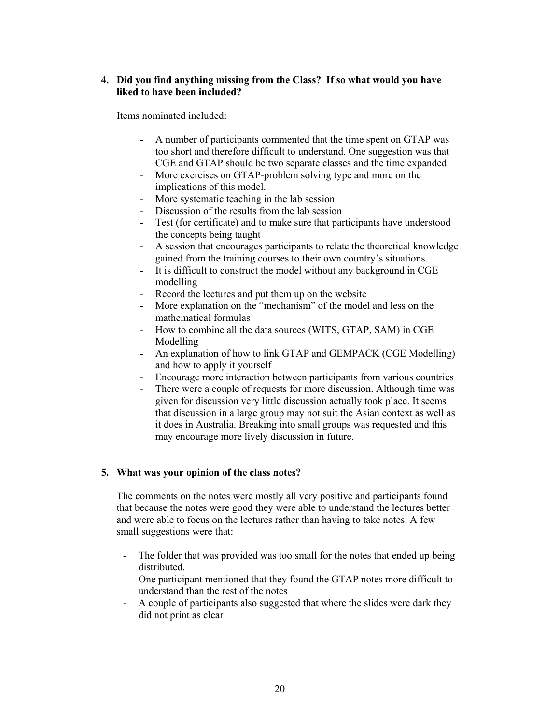## **4. Did you find anything missing from the Class? If so what would you have liked to have been included?**

Items nominated included:

- A number of participants commented that the time spent on GTAP was too short and therefore difficult to understand. One suggestion was that CGE and GTAP should be two separate classes and the time expanded.
- More exercises on GTAP-problem solving type and more on the implications of this model.
- More systematic teaching in the lab session
- Discussion of the results from the lab session
- Test (for certificate) and to make sure that participants have understood the concepts being taught
- A session that encourages participants to relate the theoretical knowledge gained from the training courses to their own country's situations.
- It is difficult to construct the model without any background in CGE modelling
- Record the lectures and put them up on the website
- More explanation on the "mechanism" of the model and less on the mathematical formulas
- How to combine all the data sources (WITS, GTAP, SAM) in CGE Modelling
- An explanation of how to link GTAP and GEMPACK (CGE Modelling) and how to apply it yourself
- Encourage more interaction between participants from various countries
- There were a couple of requests for more discussion. Although time was given for discussion very little discussion actually took place. It seems that discussion in a large group may not suit the Asian context as well as it does in Australia. Breaking into small groups was requested and this may encourage more lively discussion in future.

# **5. What was your opinion of the class notes?**

The comments on the notes were mostly all very positive and participants found that because the notes were good they were able to understand the lectures better and were able to focus on the lectures rather than having to take notes. A few small suggestions were that:

- The folder that was provided was too small for the notes that ended up being distributed.
- One participant mentioned that they found the GTAP notes more difficult to understand than the rest of the notes
- A couple of participants also suggested that where the slides were dark they did not print as clear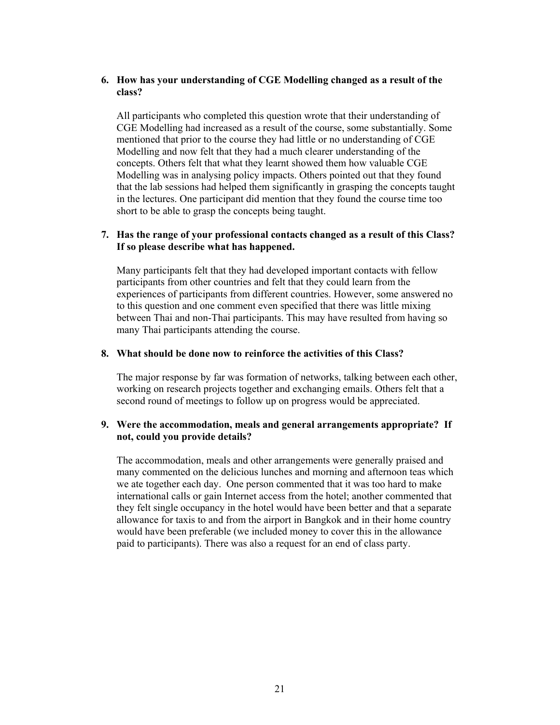### **6. How has your understanding of CGE Modelling changed as a result of the class?**

All participants who completed this question wrote that their understanding of CGE Modelling had increased as a result of the course, some substantially. Some mentioned that prior to the course they had little or no understanding of CGE Modelling and now felt that they had a much clearer understanding of the concepts. Others felt that what they learnt showed them how valuable CGE Modelling was in analysing policy impacts. Others pointed out that they found that the lab sessions had helped them significantly in grasping the concepts taught in the lectures. One participant did mention that they found the course time too short to be able to grasp the concepts being taught.

### **7. Has the range of your professional contacts changed as a result of this Class? If so please describe what has happened.**

Many participants felt that they had developed important contacts with fellow participants from other countries and felt that they could learn from the experiences of participants from different countries. However, some answered no to this question and one comment even specified that there was little mixing between Thai and non-Thai participants. This may have resulted from having so many Thai participants attending the course.

### **8. What should be done now to reinforce the activities of this Class?**

The major response by far was formation of networks, talking between each other, working on research projects together and exchanging emails. Others felt that a second round of meetings to follow up on progress would be appreciated.

### **9. Were the accommodation, meals and general arrangements appropriate? If not, could you provide details?**

The accommodation, meals and other arrangements were generally praised and many commented on the delicious lunches and morning and afternoon teas which we ate together each day. One person commented that it was too hard to make international calls or gain Internet access from the hotel; another commented that they felt single occupancy in the hotel would have been better and that a separate allowance for taxis to and from the airport in Bangkok and in their home country would have been preferable (we included money to cover this in the allowance paid to participants). There was also a request for an end of class party.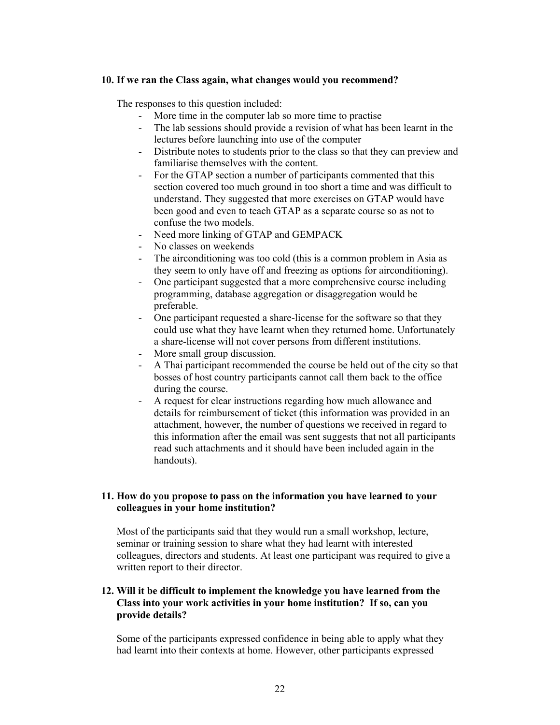### **10. If we ran the Class again, what changes would you recommend?**

The responses to this question included:

- More time in the computer lab so more time to practise
- The lab sessions should provide a revision of what has been learnt in the lectures before launching into use of the computer
- Distribute notes to students prior to the class so that they can preview and familiarise themselves with the content.
- For the GTAP section a number of participants commented that this section covered too much ground in too short a time and was difficult to understand. They suggested that more exercises on GTAP would have been good and even to teach GTAP as a separate course so as not to confuse the two models.
- Need more linking of GTAP and GEMPACK
- No classes on weekends
- The airconditioning was too cold (this is a common problem in Asia as they seem to only have off and freezing as options for airconditioning).
- One participant suggested that a more comprehensive course including programming, database aggregation or disaggregation would be preferable.
- One participant requested a share-license for the software so that they could use what they have learnt when they returned home. Unfortunately a share-license will not cover persons from different institutions.
- More small group discussion.
- A Thai participant recommended the course be held out of the city so that bosses of host country participants cannot call them back to the office during the course.
- A request for clear instructions regarding how much allowance and details for reimbursement of ticket (this information was provided in an attachment, however, the number of questions we received in regard to this information after the email was sent suggests that not all participants read such attachments and it should have been included again in the handouts).

### **11. How do you propose to pass on the information you have learned to your colleagues in your home institution?**

Most of the participants said that they would run a small workshop, lecture, seminar or training session to share what they had learnt with interested colleagues, directors and students. At least one participant was required to give a written report to their director.

## **12. Will it be difficult to implement the knowledge you have learned from the Class into your work activities in your home institution? If so, can you provide details?**

Some of the participants expressed confidence in being able to apply what they had learnt into their contexts at home. However, other participants expressed